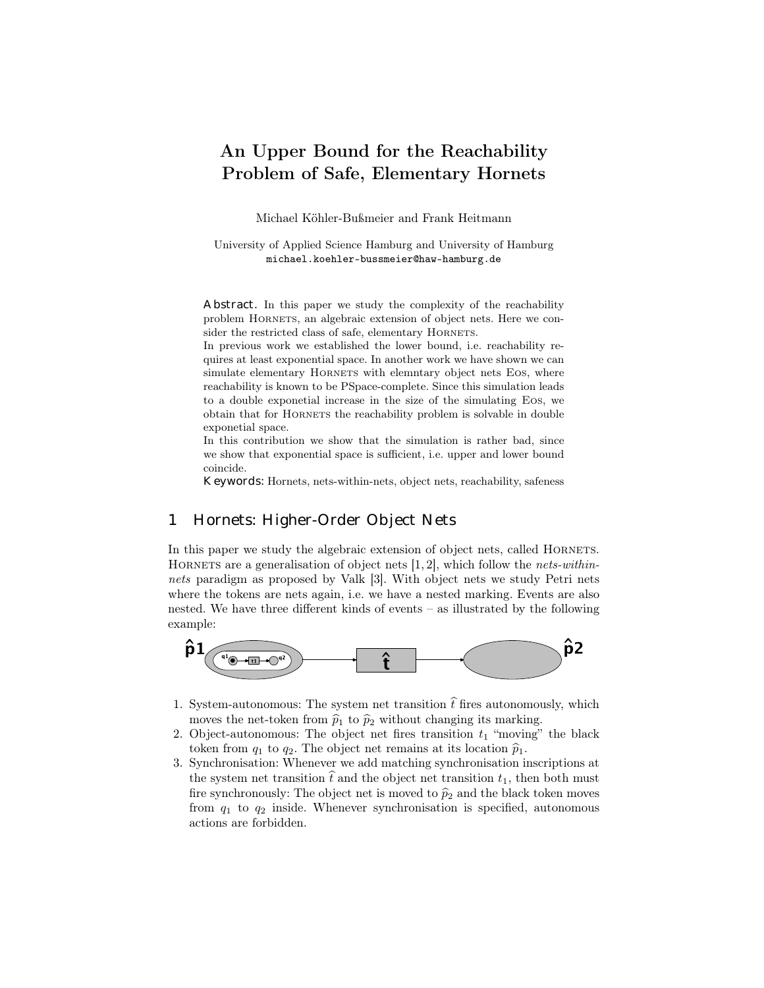# An Upper Bound for the Reachability Problem of Safe, Elementary Hornets

Michael Köhler-Bußmeier and Frank Heitmann

University of Applied Science Hamburg and University of Hamburg michael.koehler-bussmeier@haw-hamburg.de

Abstract. In this paper we study the complexity of the reachability problem Hornets, an algebraic extension of object nets. Here we consider the restricted class of safe, elementary HORNETS.

In previous work we established the lower bound, i.e. reachability requires at least exponential space. In another work we have shown we can simulate elementary HORNETS with elemntary object nets Eos, where reachability is known to be PSpace-complete. Since this simulation leads to a double exponetial increase in the size of the simulating Eos, we obtain that for Hornets the reachability problem is solvable in double exponetial space.

In this contribution we show that the simulation is rather bad, since we show that exponential space is sufficient, i.e. upper and lower bound coincide.

Keywords: Hornets, nets-within-nets, object nets, reachability, safeness

### 1 Hornets: Higher-Order Object Nets

In this paper we study the algebraic extension of object nets, called HORNETS. HORNETS are a generalisation of object nets  $[1, 2]$ , which follow the nets-withinnets paradigm as proposed by Valk [3]. With object nets we study Petri nets where the tokens are nets again, i.e. we have a nested marking. Events are also nested. We have three different kinds of events – as illustrated by the following example:



- 1. System-autonomous: The system net transition  $\hat{t}$  fires autonomously, which moves the net-token from  $\hat{p}_1$  to  $\hat{p}_2$  without changing its marking.
- 2. Object-autonomous: The object net fires transition  $t_1$  "moving" the black token from  $q_1$  to  $q_2$ . The object net remains at its location  $\hat{p}_1$ .
- 3. Synchronisation: Whenever we add matching synchronisation inscriptions at the system net transition  $\hat{t}$  and the object net transition  $t_1$ , then both must fire synchronously: The object net is moved to  $\hat{p}_2$  and the black token moves from  $q_1$  to  $q_2$  inside. Whenever synchronisation is specified, autonomous actions are forbidden.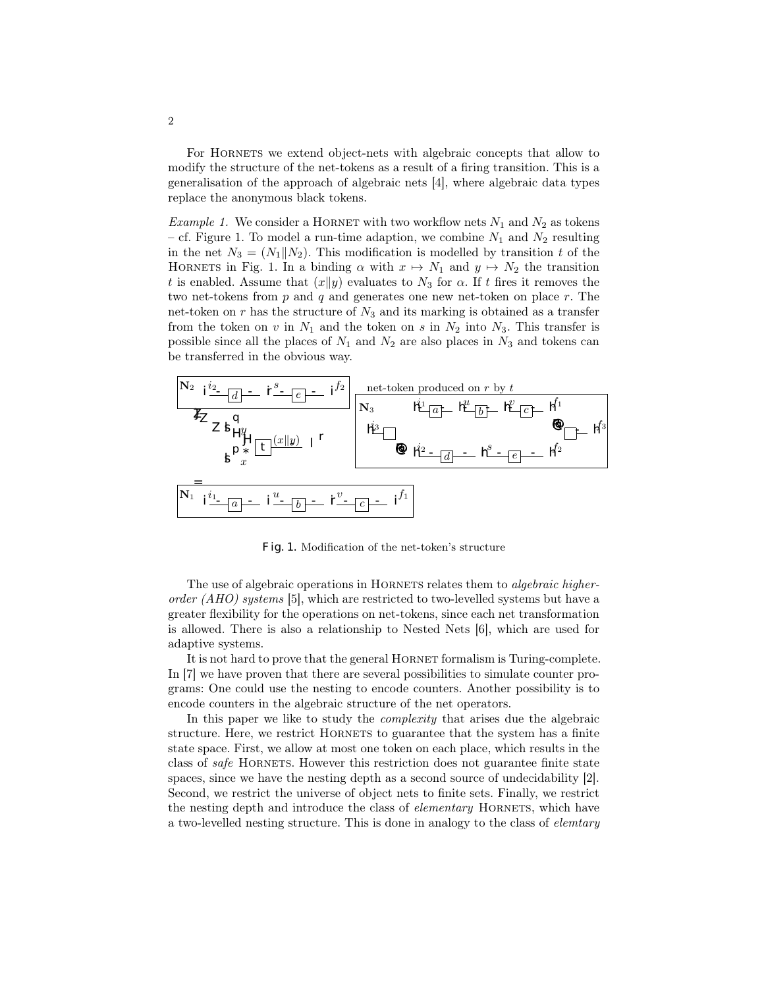For Hornets we extend object-nets with algebraic concepts that allow to modify the structure of the net-tokens as a result of a firing transition. This is a generalisation of the approach of algebraic nets [4], where algebraic data types replace the anonymous black tokens.

*Example 1.* We consider a HORNET with two workflow nets  $N_1$  and  $N_2$  as tokens – cf. Figure 1. To model a run-time adaption, we combine  $N_1$  and  $N_2$  resulting in the net  $N_3 = (N_1||N_2)$ . This modification is modelled by transition t of the HORNETS in Fig. 1. In a binding  $\alpha$  with  $x \mapsto N_1$  and  $y \mapsto N_2$  the transition t is enabled. Assume that  $(x||y)$  evaluates to  $N_3$  for  $\alpha$ . If t fires it removes the two net-tokens from  $p$  and  $q$  and generates one new net-token on place  $r$ . The net-token on r has the structure of  $N_3$  and its marking is obtained as a transfer from the token on v in  $N_1$  and the token on s in  $N_2$  into  $N_3$ . This transfer is possible since all the places of  $N_1$  and  $N_2$  are also places in  $N_3$  and tokens can be transferred in the obvious way.



Fig. 1. Modification of the net-token's structure

The use of algebraic operations in HORNETS relates them to *algebraic higher*order  $(AHO)$  systems [5], which are restricted to two-levelled systems but have a greater flexibility for the operations on net-tokens, since each net transformation is allowed. There is also a relationship to Nested Nets [6], which are used for adaptive systems.

It is not hard to prove that the general HORNET formalism is Turing-complete. In [7] we have proven that there are several possibilities to simulate counter programs: One could use the nesting to encode counters. Another possibility is to encode counters in the algebraic structure of the net operators.

In this paper we like to study the *complexity* that arises due the algebraic structure. Here, we restrict HORNETS to guarantee that the system has a finite state space. First, we allow at most one token on each place, which results in the class of *safe* HORNETS. However this restriction does not guarantee finite state spaces, since we have the nesting depth as a second source of undecidability [2]. Second, we restrict the universe of object nets to finite sets. Finally, we restrict the nesting depth and introduce the class of *elementary* HORNETS, which have a two-levelled nesting structure. This is done in analogy to the class of elemtary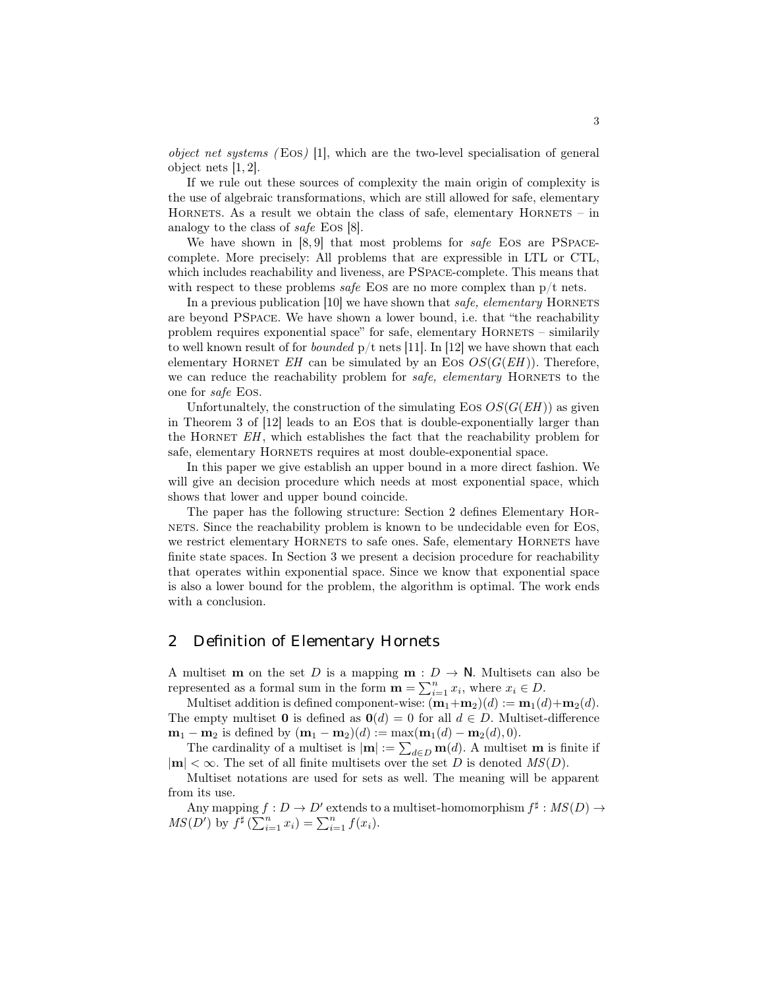*object net systems* (EOS) [1], which are the two-level specialisation of general object nets [1, 2].

If we rule out these sources of complexity the main origin of complexity is the use of algebraic transformations, which are still allowed for safe, elementary HORNETS. As a result we obtain the class of safe, elementary  $H$ ORNETS – in analogy to the class of safe Eos [8].

We have shown in [8,9] that most problems for safe EOS are PSPACEcomplete. More precisely: All problems that are expressible in LTL or CTL, which includes reachability and liveness, are PSpace-complete. This means that with respect to these problems safe Eos are no more complex than  $p/t$  nets.

In a previous publication  $[10]$  we have shown that *safe*, *elementary* HORNETS are beyond PSpace. We have shown a lower bound, i.e. that "the reachability problem requires exponential space" for safe, elementary Hornets – similarily to well known result of for *bounded*  $p/t$  nets [11]. In [12] we have shown that each elementary HORNET  $EH$  can be simulated by an Eos  $OS(G(EH))$ . Therefore, we can reduce the reachability problem for *safe*, *elementary* HORNETS to the one for safe Eos.

Unfortunaltely, the construction of the simulating Eos  $OS(G(EH))$  as given in Theorem 3 of [12] leads to an Eos that is double-exponentially larger than the HORNET  $EH$ , which establishes the fact that the reachability problem for safe, elementary HORNETS requires at most double-exponential space.

In this paper we give establish an upper bound in a more direct fashion. We will give an decision procedure which needs at most exponential space, which shows that lower and upper bound coincide.

The paper has the following structure: Section 2 defines Elementary Hornets. Since the reachability problem is known to be undecidable even for Eos, we restrict elementary HORNETS to safe ones. Safe, elementary HORNETS have finite state spaces. In Section 3 we present a decision procedure for reachability that operates within exponential space. Since we know that exponential space is also a lower bound for the problem, the algorithm is optimal. The work ends with a conclusion.

### 2 Definition of Elementary Hornets

A multiset **m** on the set D is a mapping **m** :  $D \rightarrow \mathbb{N}$ . Multisets can also be represented as a formal sum in the form  $\mathbf{m} = \sum_{i=1}^{n} x_i$ , where  $x_i \in D$ .

Multiset addition is defined component-wise:  $(\mathbf{m}_1+\mathbf{m}_2)(d) := \mathbf{m}_1(d) + \mathbf{m}_2(d)$ . The empty multiset **0** is defined as  $\mathbf{0}(d) = 0$  for all  $d \in D$ . Multiset-difference  $m_1 - m_2$  is defined by  $(m_1 - m_2)(d) := max(m_1(d) - m_2(d), 0).$ 

The cardinality of a multiset is  $|\mathbf{m}| := \sum_{d \in D} \mathbf{m}(d)$ . A multiset m is finite if  $|m| < \infty$ . The set of all finite multisets over the set D is denoted  $MS(D)$ .

Multiset notations are used for sets as well. The meaning will be apparent from its use.

Any mapping  $f: D \to D'$  extends to a multiset-homomorphism  $f^{\sharp}: MS(D) \to D'$  $MS(D')$  by  $f^{\sharp}(\sum_{i=1}^{n} x_i) = \sum_{i=1}^{n} f(x_i)$ .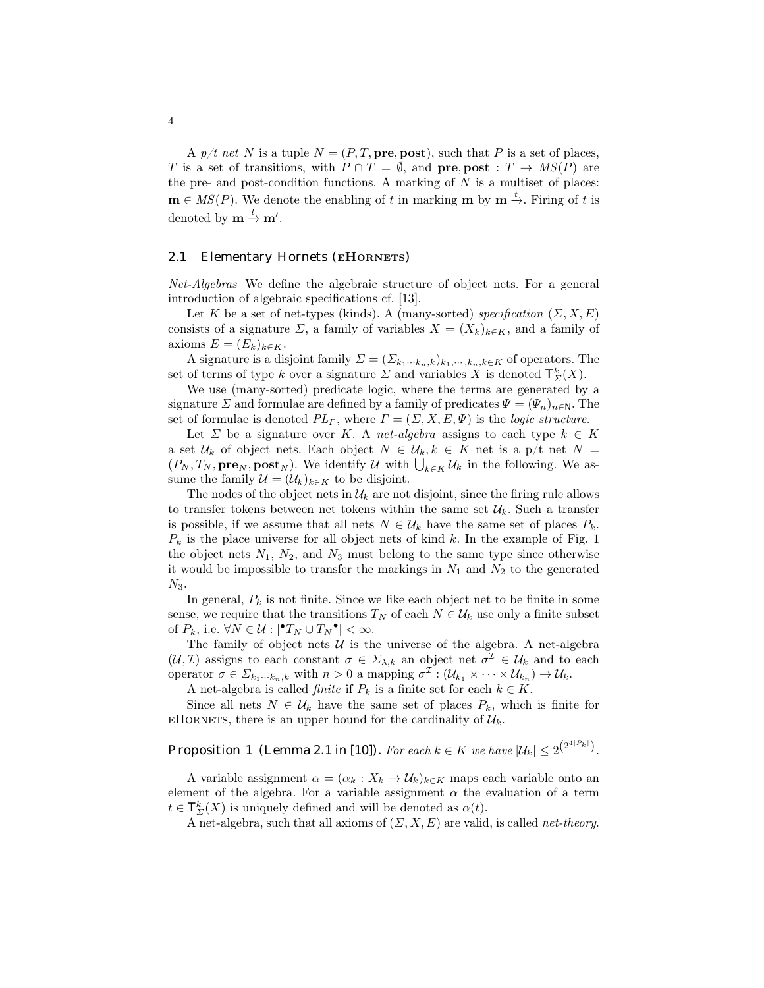A  $p/t$  net N is a tuple  $N = (P, T, \text{pre}, \text{post})$ , such that P is a set of places, T is a set of transitions, with  $P \cap T = \emptyset$ , and pre, post :  $T \to MS(P)$  are the pre- and post-condition functions. A marking of  $N$  is a multiset of places:  $\mathbf{m} \in MS(P)$ . We denote the enabling of t in marking  $\mathbf{m}$  by  $\mathbf{m} \stackrel{t}{\rightarrow}$ . Firing of t is denoted by  $\mathbf{m} \stackrel{t}{\rightarrow} \mathbf{m}'$ .

#### 2.1 Elementary Hornets (EHORNETS)

Net-Algebras We define the algebraic structure of object nets. For a general introduction of algebraic specifications cf. [13].

Let K be a set of net-types (kinds). A (many-sorted) specification  $(\Sigma, X, E)$ consists of a signature  $\Sigma$ , a family of variables  $X = (X_k)_{k \in K}$ , and a family of axioms  $E = (E_k)_{k \in K}$ .

A signature is a disjoint family  $\Sigma = (\Sigma_{k_1\cdots k_n,k})_{k_1,\cdots,k_n,k\in K}$  of operators. The set of terms of type k over a signature  $\Sigma$  and variables X is denoted  $\mathcal{T}_{\Sigma}^k(X)$ .

We use (many-sorted) predicate logic, where the terms are generated by a signature  $\Sigma$  and formulae are defined by a family of predicates  $\Psi = (\Psi_n)_{n \in \mathbb{N}}$ . The set of formulae is denoted  $PL_{\Gamma}$ , where  $\Gamma = (\Sigma, X, E, \Psi)$  is the logic structure.

Let  $\Sigma$  be a signature over K. A net-algebra assigns to each type  $k \in K$ a set  $\mathcal{U}_k$  of object nets. Each object  $N \in \mathcal{U}_k, k \in K$  net is a p/t net  $N =$  $(P_N, T_N, \textbf{pre}_N, \textbf{post}_N)$ . We identify U with  $\bigcup_{k \in K} U_k$  in the following. We assume the family  $\mathcal{U} = (\mathcal{U}_k)_{k \in K}$  to be disjoint.

The nodes of the object nets in  $\mathcal{U}_k$  are not disjoint, since the firing rule allows to transfer tokens between net tokens within the same set  $\mathcal{U}_k$ . Such a transfer is possible, if we assume that all nets  $N \in \mathcal{U}_k$  have the same set of places  $P_k$ .  $P_k$  is the place universe for all object nets of kind k. In the example of Fig. 1 the object nets  $N_1$ ,  $N_2$ , and  $N_3$  must belong to the same type since otherwise it would be impossible to transfer the markings in  $N_1$  and  $N_2$  to the generated  $N_3$ .

In general,  $P_k$  is not finite. Since we like each object net to be finite in some sense, we require that the transitions  $T_N$  of each  $N \in \mathcal{U}_k$  use only a finite subset of  $P_k$ , i.e.  $\forall N \in \mathcal{U} : |\mathbf{P}T_N \cup T_N \mathbf{P}| < \infty$ .

The family of object nets  $U$  is the universe of the algebra. A net-algebra  $(\mathcal{U}, \mathcal{I})$  assigns to each constant  $\sigma \in \Sigma_{\lambda,k}$  an object net  $\sigma^{\mathcal{I}} \in \mathcal{U}_k$  and to each operator  $\sigma \in \Sigma_{k_1\cdots k_n,k}$  with  $n>0$  a mapping  $\sigma^{\mathcal{I}}: (\mathcal{U}_{k_1}\times \cdots \times \mathcal{U}_{k_n})\to \mathcal{U}_k$ .

A net-algebra is called *finite* if  $P_k$  is a finite set for each  $k \in K$ .

Since all nets  $N \in \mathcal{U}_k$  have the same set of places  $P_k$ , which is finite for EHORNETS, there is an upper bound for the cardinality of  $\mathcal{U}_k$ .

Proposition 1 (Lemma 2.1 in [10]). For each  $k \in K$  we have  $|\mathcal{U}_k| \leq 2^{\left(2^{4|P_k|}\right)}$ .

A variable assignment  $\alpha = (\alpha_k : X_k \to \mathcal{U}_k)_{k \in K}$  maps each variable onto an element of the algebra. For a variable assignment  $\alpha$  the evaluation of a term  $t \in \mathcal{T}_{\Sigma}^{k}(X)$  is uniquely defined and will be denoted as  $\alpha(t)$ .

A net-algebra, such that all axioms of  $(\Sigma, X, E)$  are valid, is called *net-theory*.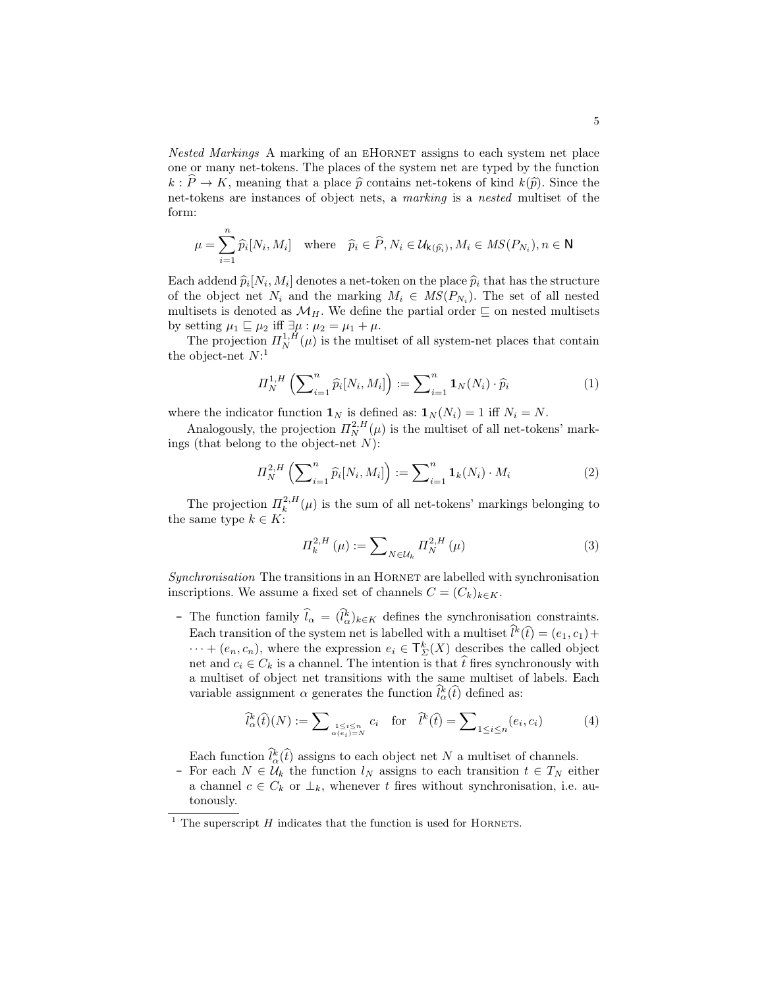Nested Markings A marking of an eHornet assigns to each system net place one or many net-tokens. The places of the system net are typed by the function  $k : \hat{P} \to K$ , meaning that a place  $\hat{p}$  contains net-tokens of kind  $k(\hat{p})$ . Since the net-tokens are instances of object nets, a marking is a nested multiset of the form:

$$
\mu = \sum_{i=1}^{n} \widehat{p}_i[N_i, M_i] \quad \text{where} \quad \widehat{p}_i \in \widehat{P}, N_i \in \mathcal{U}_{k(\widehat{p}_i)}, M_i \in MS(P_{N_i}), n \in \mathbb{N}
$$

Each addend  $\hat{p}_i[N_i, M_i]$  denotes a net-token on the place  $\hat{p}_i$  that has the structure<br>of the object net  $N_i$  and the marking  $M_i \in MS(P_{i,j})$ . The set of all neted of the object net  $N_i$  and the marking  $M_i \in MS(P_{N_i})$ . The set of all nested multisets is denoted as  $\mathcal{M}_H$ . We define the partial order  $\sqsubseteq$  on nested multisets by setting  $\mu_1 \sqsubseteq \mu_2$  iff  $\exists \mu : \mu_2 = \mu_1 + \mu$ .

The projection  $\Pi_N^{1,H}(\mu)$  is the multiset of all system-net places that contain the object-net  $N:$ <sup>1</sup>

$$
\Pi_N^{1,H}\left(\sum\nolimits_{i=1}^n \widehat{p}_i[N_i,M_i]\right) := \sum\nolimits_{i=1}^n \mathbf{1}_N(N_i) \cdot \widehat{p}_i
$$
\n(1)

where the indicator function  $\mathbf{1}_N$  is defined as:  $\mathbf{1}_N (N_i) = 1$  iff  $N_i = N$ .

Analogously, the projection  $\Pi_N^{2,H}(\mu)$  is the multiset of all net-tokens' markings (that belong to the object-net  $N$ ):

$$
\Pi_N^{2,H} \left( \sum_{i=1}^n \widehat{p}_i[N_i, M_i] \right) := \sum_{i=1}^n \mathbf{1}_k(N_i) \cdot M_i \tag{2}
$$

The projection  $\prod_{k}^{2,H}(\mu)$  is the sum of all net-tokens' markings belonging to the same type  $k \in K$ :

$$
\Pi_{k}^{2,H}\left(\mu\right) := \sum_{N\in\mathcal{U}_{k}} \Pi_{N}^{2,H}\left(\mu\right) \tag{3}
$$

Synchronisation The transitions in an HORNET are labelled with synchronisation inscriptions. We assume a fixed set of channels  $C = (C_k)_{k \in K}$ .

– The function family  $\hat{l}_{\alpha} = (\hat{l}_{\alpha}^{k})_{k \in K}$  defines the synchronisation constraints. Each transition of the system net is labelled with a multiset  $\hat{l}^k(\hat{t}) = (e_1, c_1) + (e_2, e_3)$  $\cdots + (e_n, c_n)$ , where the expression  $e_i \in \mathcal{T}_{\Sigma}^k(X)$  describes the called object net and  $c_i \in C_k$  is a channel. The intention is that  $\hat{t}$  fires synchronously with a multiset of object net transitions with the same multiset of labels. Each variable assignment  $\alpha$  generates the function  $\hat{l}_{\alpha}^{k}(\hat{t})$  defined as:

$$
\widehat{l}_{\alpha}^{k}(\widehat{t})(N) := \sum_{\substack{1 \leq i \leq n \\ \alpha(e_i) = N}} c_i \quad \text{for} \quad \widehat{l}^{k}(\widehat{t}) = \sum_{1 \leq i \leq n} (e_i, c_i) \tag{4}
$$

Each function  $\hat{l}_{\alpha}^{k}(\hat{t})$  assigns to each object net N a multiset of channels.<br>– For each  $N \in \mathcal{U}_{k}$  the function  $l_{N}$  assigns to each transition  $t \in T_{N}$  either a channel  $c \in C_k$  or  $\perp_k$ , whenever t fires without synchronisation, i.e. autonously.

<sup>&</sup>lt;sup>1</sup> The superscript  $H$  indicates that the function is used for HORNETS.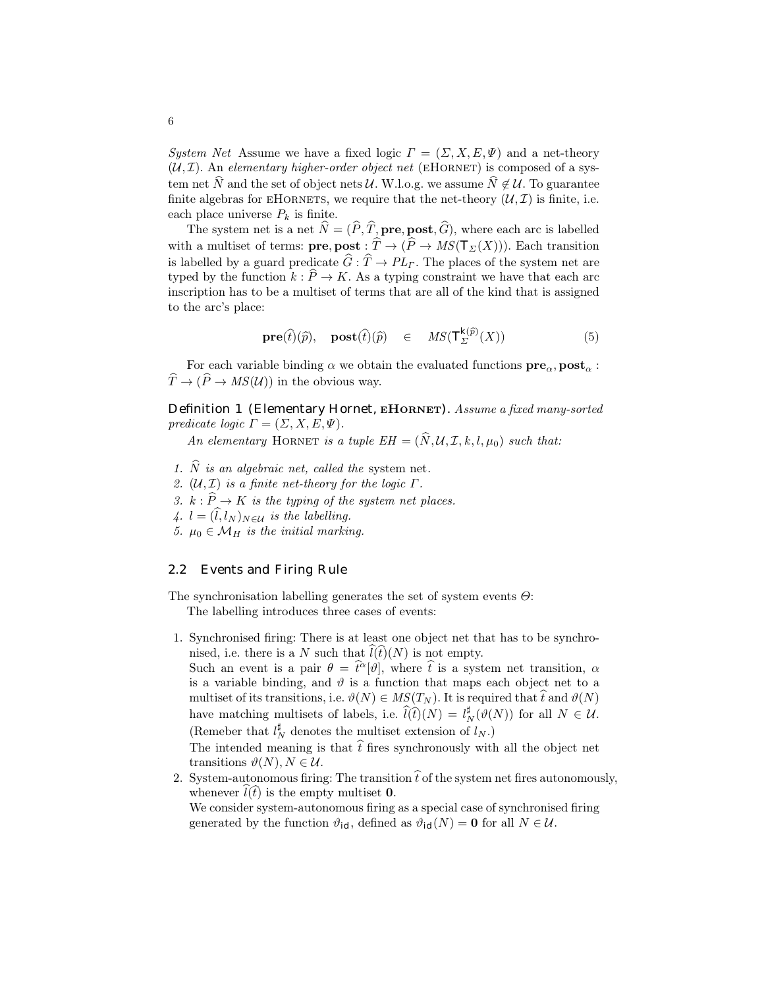System Net Assume we have a fixed logic  $\Gamma = (\Sigma, X, E, \Psi)$  and a net-theory  $(\mathcal{U}, \mathcal{I})$ . An elementary higher-order object net (EHORNET) is composed of a system net  $\hat{N}$  and the set of object nets U. W.l.o.g. we assume  $\hat{N} \notin \mathcal{U}$ . To guarantee finite algebras for EHORNETS, we require that the net-theory  $(\mathcal{U}, \mathcal{I})$  is finite, i.e. each place universe  $P_k$  is finite.

The system net is a net  $\hat{N} = (\hat{P}, \hat{T}, \textbf{pre}, \textbf{post}, \hat{G})$ , where each arc is labelled with a multiset of terms:  $\mathbf{pre}, \mathbf{post} : \widehat{T} \to (\widehat{P} \to MS(T_{\Sigma}(X))).$  Each transition is labelled by a guard predicate  $\widehat{G} : \widehat{T} \to PL_\Gamma$ . The places of the system net are typed by the function  $k : \widehat{P} \to K$ . As a typing constraint we have that each arc inscription has to be a multiset of terms that are all of the kind that is assigned to the arc's place:

$$
\mathbf{pre}(\hat{t})(\hat{p}), \quad \mathbf{post}(\hat{t})(\hat{p}) \quad \in \quad MS(\top_{\Sigma}^{k(\hat{p})}(X)) \tag{5}
$$

For each variable binding  $\alpha$  we obtain the evaluated functions  $\mathbf{pre}_{\alpha}, \mathbf{post}_{\alpha}$ :  $\widehat{T}\to (\widehat{P}\to MS(\mathcal{U}))$  in the obvious way.

Definition 1 (Elementary Hornet, EHORNET). Assume a fixed many-sorted predicate logic  $\Gamma = (\Sigma, X, E, \Psi)$ .

An elementary HORNET is a tuple  $EH = (\hat{N}, \mathcal{U}, \mathcal{I}, k, l, \mu_0)$  such that:

- 1.  $\widehat{N}$  is an algebraic net, called the system net.
- 2.  $(\mathcal{U}, \mathcal{I})$  is a finite net-theory for the logic  $\Gamma$ .
- 3.  $k : \widehat{P} \to K$  is the typing of the system net places.
- 4.  $l = (\hat{l}, l_N)_{N \in \mathcal{U}}$  is the labelling.
- 5.  $\mu_0 \in \mathcal{M}_H$  is the initial marking.

#### 2.2 Events and Firing Rule

The synchronisation labelling generates the set of system events  $\Theta$ : The labelling introduces three cases of events:

1. Synchronised firing: There is at least one object net that has to be synchronised, i.e. there is a N such that  $\widehat{l(t)}(N)$  is not empty.

Such an event is a pair  $\theta = \hat{t}^{\alpha}[\vartheta]$ , where  $\hat{t}$  is a system net transition,  $\alpha$ is a variable binding, and  $\vartheta$  is a function that maps each object net to a multiset of its transitions, i.e.  $\vartheta(N) \in MS(T_N)$ . It is required that  $\hat{t}$  and  $\vartheta(N)$ have matching multisets of labels, i.e.  $\widehat{l}(t)(N) = l_N^{\sharp}(\vartheta(N))$  for all  $N \in \mathcal{U}$ . (Remeber that  $l_N^\sharp$  denotes the multiset extension of  $l_N.)$ 

The intended meaning is that  $\hat{t}$  fires synchronously with all the object net transitions  $\vartheta(N), N \in \mathcal{U}$ .

2. System-autonomous firing: The transition  $\hat{t}$  of the system net fires autonomously, whenever  $l(t)$  is the empty multiset 0. We consider system-autonomous firing as a special case of synchronised firing

generated by the function  $\vartheta_{id}$ , defined as  $\vartheta_{id}(N) = 0$  for all  $N \in \mathcal{U}$ .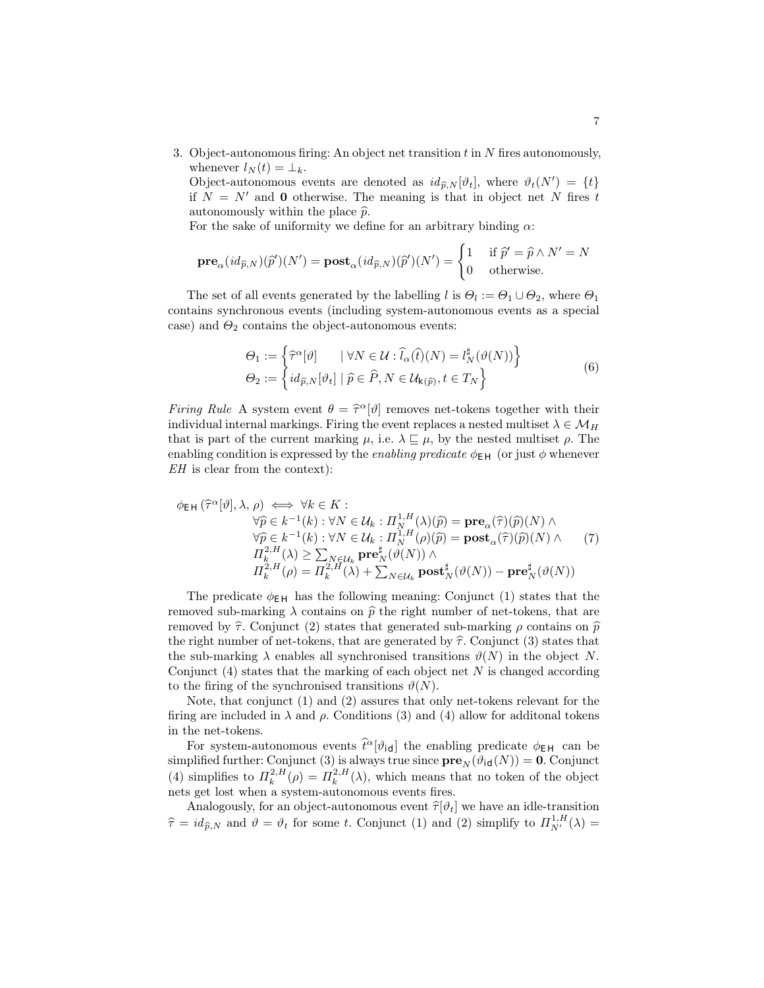3. Object-autonomous firing: An object net transition  $t$  in  $N$  fires autonomously, whenever  $l_N(t) = \perp_k$ .

Object-autonomous events are denoted as  $id_{\widehat{p},N}[\vartheta_t]$ , where  $\vartheta_t(N') = \{t\}$ if  $N = N'$  and 0 otherwise. The meaning is that in object net N fires t autonomously within the place  $\hat{p}$ .

For the sake of uniformity we define for an arbitrary binding  $\alpha$ :

$$
\mathbf{pre}_\alpha(id_{\widehat{p},N})(\widehat{p}')(N')=\mathbf{post}_\alpha(id_{\widehat{p},N})(\widehat{p}')(N')=\begin{cases}1 & \text{ if } \widehat{p}'=\widehat{p}\wedge N'=N\\0 & \text{ otherwise.}\end{cases}
$$

The set of all events generated by the labelling  $l$  is  $\Theta_l := \Theta_1 \cup \Theta_2$ , where  $\Theta_1$ contains synchronous events (including system-autonomous events as a special case) and  $\Theta_2$  contains the object-autonomous events:

$$
\Theta_1 := \left\{ \widehat{\tau}^{\alpha}[\vartheta] \quad |\ \forall N \in \mathcal{U} : \widehat{l}_{\alpha}(\widehat{t})(N) = l_N^{\sharp}(\vartheta(N)) \right\} \n\Theta_2 := \left\{ id_{\widehat{p},N}[\vartheta_t] \mid \widehat{p} \in \widehat{P}, N \in \mathcal{U}_{k(\widehat{p})}, t \in T_N \right\}
$$
\n(6)

Firing Rule A system event  $\theta = \hat{\tau}^{\alpha}[\vartheta]$  removes net-tokens together with their individual internal markings. Firing the system replaces a nested multiset  $\lambda \in M_{\tau}$ individual internal markings. Firing the event replaces a nested multiset  $\lambda \in \mathcal{M}_H$ that is part of the current marking  $\mu$ , i.e.  $\lambda \subseteq \mu$ , by the nested multiset  $\rho$ . The enabling condition is expressed by the *enabling predicate*  $\phi_{EH}$  (or just  $\phi$  whenever EH is clear from the context):

$$
\phi_{EH}(\hat{\tau}^{\alpha}[\vartheta], \lambda, \rho) \iff \forall k \in K : \n\forall \hat{p} \in k^{-1}(k) : \forall N \in \mathcal{U}_k : \Pi_N^{1,H}(\lambda)(\hat{p}) = \mathbf{pre}_{\alpha}(\hat{\tau})(\hat{p})(N) \land \n\forall \hat{p} \in k^{-1}(k) : \forall N \in \mathcal{U}_k : \Pi_N^{1,H}(\rho)(\hat{p}) = \mathbf{post}_{\alpha}(\hat{\tau})(\hat{p})(N) \land \n\Pi_k^{2,H}(\lambda) \ge \sum_{N \in \mathcal{U}_k} \mathbf{pre}_N^{\sharp}(\vartheta(N)) \land \n\Pi_k^{2,H}(\rho) = \Pi_k^{2,H}(\lambda) + \sum_{N \in \mathcal{U}_k} \mathbf{post}_N^{\sharp}(\vartheta(N)) - \mathbf{pre}_N^{\sharp}(\vartheta(N))
$$

The predicate  $\phi_{EH}$  has the following meaning: Conjunct (1) states that the removed sub-marking  $\lambda$  contains on  $\hat{p}$  the right number of net-tokens, that are removed by  $\hat{\tau}$ . Conjunct (2) states that generated sub-marking  $\rho$  contains on  $\hat{p}$ the right number of net-tokens, that are generated by  $\hat{\tau}$ . Conjunct (3) states that the sub-marking  $\lambda$  enables all synchronised transitions  $\vartheta(N)$  in the object N. Conjunct  $(4)$  states that the marking of each object net N is changed according to the firing of the synchronised transitions  $\vartheta(N)$ .

Note, that conjunct (1) and (2) assures that only net-tokens relevant for the firing are included in  $\lambda$  and  $\rho$ . Conditions (3) and (4) allow for additional tokens in the net-tokens.

For system-autonomous events  $\hat{t}^{\alpha}[\vartheta_{id}]$  the enabling predicate  $\phi_{EH}$  can be simplified further: Conjunct (3) is always true since  $pre_N(\vartheta_{id}(N)) = 0$ . Conjunct (4) simplifies to  $\Pi_k^{2,H}(\rho) = \Pi_k^{2,H}(\lambda)$ , which means that no token of the object nets get lost when a system-autonomous events fires.

Analogously, for an object-autonomous event  $\hat{\tau}[\vartheta_t]$  we have an idle-transition  $\hat{\tau} = id_{\hat{p},N}$  and  $\hat{\theta} = \theta_t$  for some t. Conjunct (1) and (2) simplify to  $\Pi_{N'}^{1,H}(\lambda) =$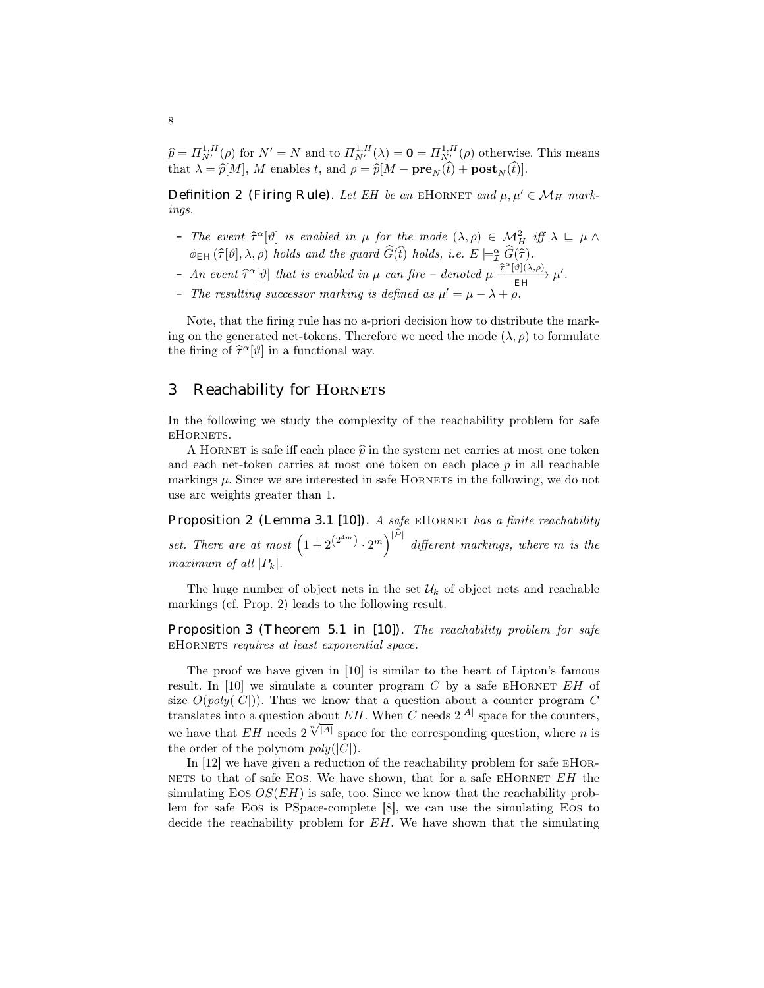$\widehat{p} = \Pi_{\mathcal{N}}^{1,H}(\rho)$  for  $\mathcal{N}' = \mathcal{N}$  and to  $\Pi_{\mathcal{N}'}^{1,H}(\lambda) = \mathbf{0} = \Pi_{\mathcal{N}'}^{1,H}(\rho)$  otherwise. This means that  $\lambda = \widehat{p}[M], M$  enables t, and  $\rho = \widehat{p}[M - \mathbf{pre}_N(t) + \mathbf{post}_N(t)].$ 

Definition 2 (Firing Rule). Let EH be an EHORNET and  $\mu, \mu' \in \mathcal{M}_H$  markings.

- The event  $\hat{\tau}^{\alpha}[\vartheta]$  is enabled in  $\mu$  for the mode  $(\lambda, \rho) \in \mathcal{M}_{H}^{2}$  iff  $\lambda \subseteq \mu \wedge$  $\phi_{EH}(\widehat{\tau}[\vartheta],\lambda,\rho)$  holds and the guard  $\widehat{G}(\widehat{t})$  holds, i.e.  $E \models_{\mathcal{I}}^{\alpha} \widehat{G}(\widehat{\tau})$ .
- $An event \hat{\tau}^{\alpha}[\vartheta] that is enabled in  $\mu$  can fire denoted  $\mu \xrightarrow{\hat{\tau}^{\alpha}[\vartheta](\lambda,\rho)} \mu'.$$
- The resulting successor marking is defined as  $\mu' = \mu \lambda + \rho$ .

Note, that the firing rule has no a-priori decision how to distribute the marking on the generated net-tokens. Therefore we need the mode  $(\lambda, \rho)$  to formulate the firing of  $\hat{\tau}^{\alpha}[\vartheta]$  in a functional way.

### 3 Reachability for **HORNETS**

In the following we study the complexity of the reachability problem for safe eHornets.

A HORNET is safe iff each place  $\hat{p}$  in the system net carries at most one token and each net-token carries at most one token on each place p in all reachable markings  $\mu$ . Since we are interested in safe HORNETS in the following, we do not use arc weights greater than 1.

Proposition 2 (Lemma 3.1 [10]). A safe EHORNET has a finite reachability set. There are at most  $(1+2^{(2^{4m})}\cdot 2^m)^{|P|}$  different markings, where m is the maximum of all  $|P_k|$ .

The huge number of object nets in the set  $\mathcal{U}_k$  of object nets and reachable markings (cf. Prop. 2) leads to the following result.

Proposition 3 (Theorem 5.1 in [10]). The reachability problem for safe eHornets requires at least exponential space.

The proof we have given in [10] is similar to the heart of Lipton's famous result. In  $[10]$  we simulate a counter program C by a safe EHORNET EH of size  $O(poly(|C|))$ . Thus we know that a question about a counter program C translates into a question about  $EH$ . When C needs  $2^{|A|}$  space for the counters, translates into a question about  $E H$ . When C needs  $2^{N-1}$  space for the counters,<br>we have that  $EH$  needs  $2^{N-1}$  space for the corresponding question, where n is the order of the polynom  $poly(|C|)$ .

In [12] we have given a reduction of the reachability problem for safe eHor-NETS to that of safe EOS. We have shown, that for a safe EHORNET  $EH$  the simulating Eos  $OS(EH)$  is safe, too. Since we know that the reachability problem for safe Eos is PSpace-complete [8], we can use the simulating Eos to decide the reachability problem for EH. We have shown that the simulating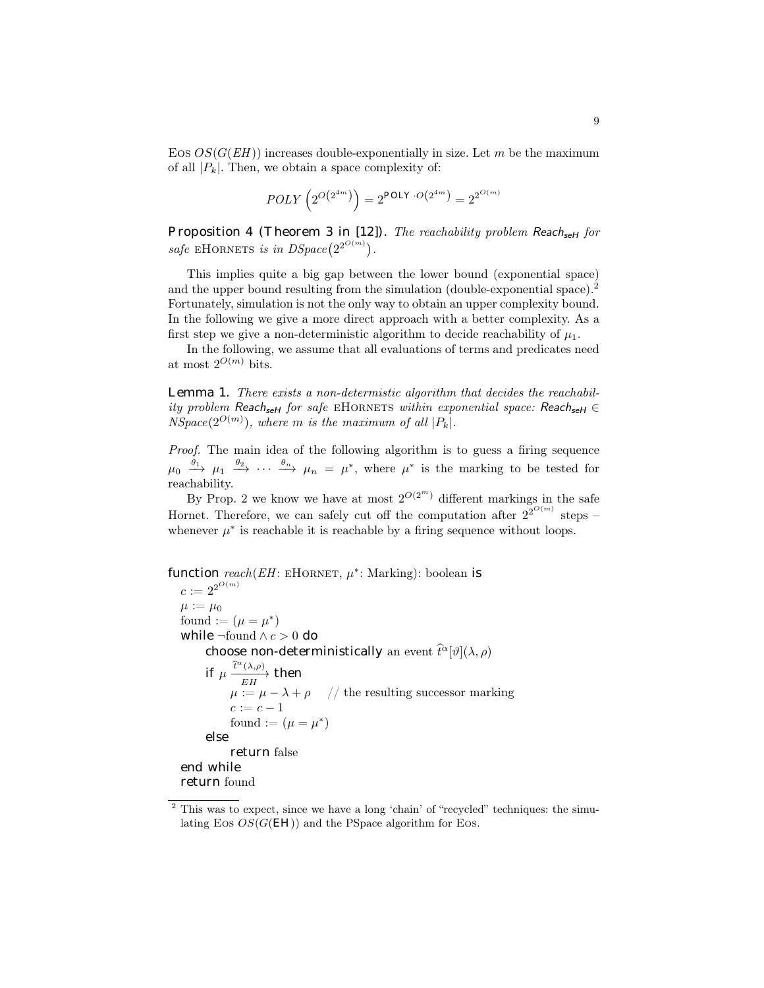Eos  $OS(G(EH))$  increases double-exponentially in size. Let m be the maximum of all  $|P_k|$ . Then, we obtain a space complexity of:

$$
POLY \left( 2^{O\left(2^{4m}\right)} \right) = 2^{POLY \cdot O\left(2^{4m}\right)} = 2^{2^{O(m)}}
$$

Proposition 4 (Theorem 3 in [12]). The reachability problem ReachseH for safe EHORNETS is in  $DSpace(2^{2^{O(m)}})$ .

This implies quite a big gap between the lower bound (exponential space) and the upper bound resulting from the simulation (double-exponential space).<sup>2</sup> Fortunately, simulation is not the only way to obtain an upper complexity bound. In the following we give a more direct approach with a better complexity. As a first step we give a non-deterministic algorithm to decide reachability of  $\mu_1$ .

In the following, we assume that all evaluations of terms and predicates need at most  $2^{O(m)}$  bits.

Lemma 1. There exists a non-determistic algorithm that decides the reachability problem Reach<sub>seH</sub> for safe EHORNETS within exponential space: Reach<sub>seH</sub>  $\in$  $NSpace(2^{O(m)})$ , where m is the maximum of all  $|P_k|$ .

Proof. The main idea of the following algorithm is to guess a firing sequence  $\mu_0 \stackrel{\theta_1}{\longrightarrow} \mu_1 \stackrel{\theta_2}{\longrightarrow} \cdots \stackrel{\theta_n}{\longrightarrow} \mu_n = \mu^*$ , where  $\mu^*$  is the marking to be tested for reachability.

By Prop. 2 we know we have at most  $2^{O(2^m)}$  different markings in the safe Hornet. Therefore, we can safely cut off the computation after  $2^{2^{O(m)}}$  steps – whenever  $\mu^*$  is reachable it is reachable by a firing sequence without loops.

```
function reach(EH: EH \cap RNET, \mu^*: \text{Marking}): boolean is
 c := 2^{2^{O(m)}}\mu := \mu_0found := (\mu = \mu^*)while ¬found \land c > 0 do
       choose non-deterministically an event \hat{t}^{\alpha}[\vartheta](\lambda,\rho)if \mu \xrightarrow[E]{\widehat{t}^{\alpha}(\lambda,\rho)} then
            \mu := \mu - \lambda + \rho \quad \textrm{ // the resulting successor marking}c := c - 1found := (\mu = \mu^*)else
             return false
end while
return found
```
<sup>&</sup>lt;sup>2</sup> This was to expect, since we have a long 'chain' of "recycled" techniques: the simulating Eos  $OS(G(EH))$  and the PSpace algorithm for Eos.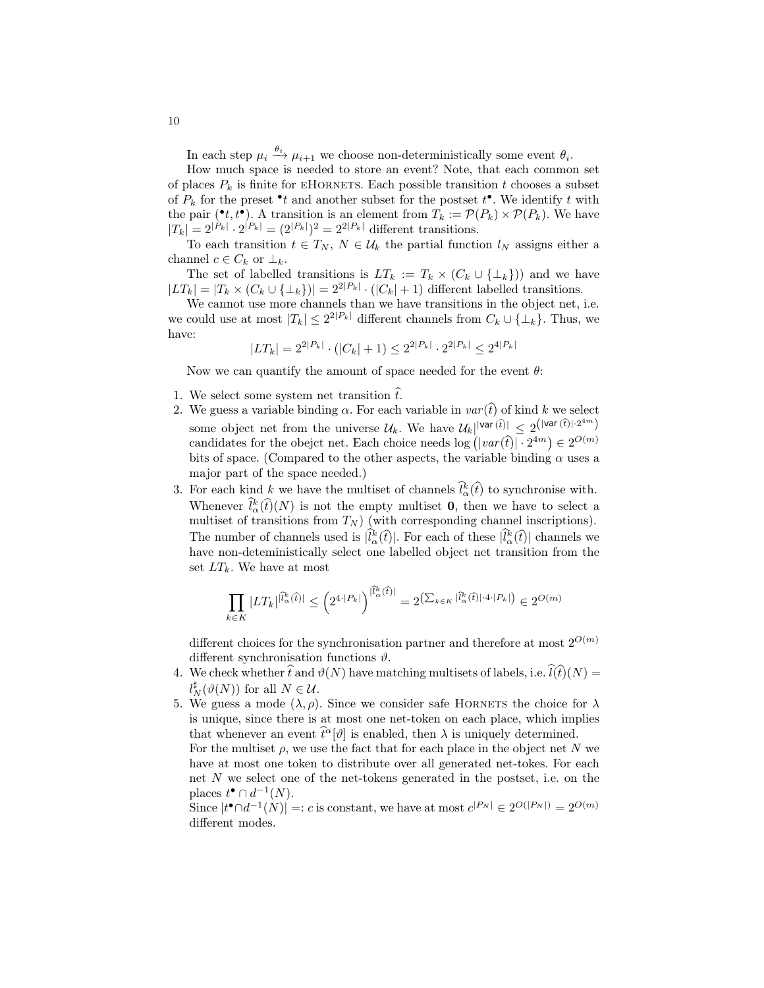In each step  $\mu_i \xrightarrow{\theta_i} \mu_{i+1}$  we choose non-deterministically some event  $\theta_i$ .

How much space is needed to store an event? Note, that each common set of places  $P_k$  is finite for EHORNETS. Each possible transition  $t$  chooses a subset of  $P_k$  for the preset  $\bullet t$  and another subset for the postset  $t^{\bullet}$ . We identify t with the pair ( $\mathbf{e}^{\bullet}t, t^{\bullet}$ ). A transition is an element from  $T_k := \mathcal{P}(P_k) \times \mathcal{P}(P_k)$ . We have  $|T_k| = 2^{|P_k|} \cdot 2^{|P_k|} = (2^{|P_k|})^2 = 2^{2|P_k|}$  different transitions.

To each transition  $t \in T_N$ ,  $N \in \mathcal{U}_k$  the partial function  $l_N$  assigns either a channel  $c \in C_k$  or  $\perp_k$ .

The set of labelled transitions is  $LT_k := T_k \times (C_k \cup \{\perp_k\})$  and we have  $|LT_k| = |T_k \times (C_k \cup {\{\perp_k\}})| = 2^{2|P_k|} \cdot (|C_k| + 1)$  different labelled transitions.

We cannot use more channels than we have transitions in the object net, i.e. we could use at most  $|T_k| \leq 2^{2|P_k|}$  different channels from  $C_k \cup \{\perp_k\}$ . Thus, we have:

$$
|LT_k| = 2^{2|P_k|} \cdot (|C_k| + 1) \le 2^{2|P_k|} \cdot 2^{2|P_k|} \le 2^{4|P_k|}
$$

Now we can quantify the amount of space needed for the event  $\theta$ :

- 1. We select some system net transition  $\hat{t}$ .
- 2. We guess a variable binding  $\alpha$ . For each variable in  $var(\hat{t})$  of kind k we select some object net from the universe  $\mathcal{U}_k$ . We have  $\mathcal{U}_k$ ||var(t͡)|  $\leq 2^{(|var(\hat{t})| \cdot 2^{4m})}$ candidates for the obejct net. Each choice needs  $\log (|var(\hat{t})| \cdot 2^{4m}) \in 2^{O(m)}$ bits of space. (Compared to the other aspects, the variable binding  $\alpha$  uses a major part of the space needed.)
- 3. For each kind k we have the multiset of channels  $\hat{l}_{\alpha}^{k}(\hat{t})$  to synchronise with. Whenever  $\hat{l}_{\alpha}^{k}(\hat{t})(N)$  is not the empty multiset **0**, then we have to select a multiset of transitions from  $T_N$ ) (with corresponding channel inscriptions). The number of channels used is  $[\hat{l}_{\alpha}^{k}(\hat{t})]$ . For each of these  $[\hat{l}_{\alpha}^{k}(\hat{t})]$  channels we have non-deteministically select one labelled object net transition from the set  $LT_k$ . We have at most

$$
\prod_{k \in K} |LT_k|^{|\hat{l}_{\alpha}^k(\hat{t})|} \le \left(2^{4 \cdot |P_k|}\right)^{|\hat{l}_{\alpha}^k(\hat{t})|} = 2^{\left(\sum_{k \in K} |\hat{l}_{\alpha}^k(\hat{t})| \cdot 4 \cdot |P_k|\right)} \in 2^{O(m)}
$$

different choices for the synchronisation partner and therefore at most  $2^{O(m)}$ different synchronisation functions  $\vartheta$ .

- 4. We check whether  $\hat{t}$  and  $\vartheta(N)$  have matching multisets of labels, i.e.  $\hat{l}(\hat{t})(N) =$  $l_N^{\sharp}(\vartheta(N))$  for all  $N \in \mathcal{U}$ .
- 5. We guess a mode  $(\lambda, \rho)$ . Since we consider safe HORNETS the choice for  $\lambda$ is unique, since there is at most one net-token on each place, which implies that whenever an event  $\hat{t}^{\alpha}[\vartheta]$  is enabled, then  $\lambda$  is uniquely determined. For the multiset  $\rho$ , we use the fact that for each place in the object net N we have at most one token to distribute over all generated net-tokes. For each net N we select one of the net-tokens generated in the postset, i.e. on the places  $t^{\bullet} \cap d^{-1}(N)$ .

Since  $|t^{\bullet} \cap d^{-1}(N)| =: c$  is constant, we have at most  $c^{|P_N|} \in 2^{O(|P_N|)} = 2^{O(m)}$ different modes.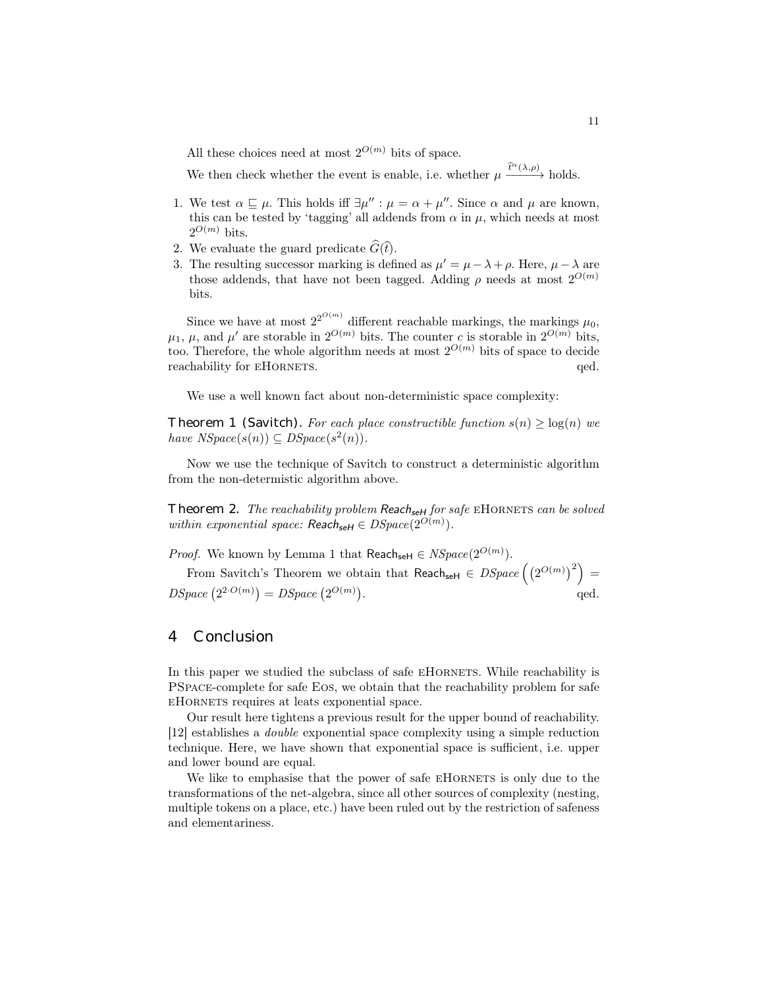All these choices need at most  $2^{O(m)}$  bits of space.

We then check whether the event is enable, i.e. whether  $\mu \xrightarrow{\hat{t}^{\alpha}(\lambda,\rho)}$  holds.

- 1. We test  $\alpha \sqsubseteq \mu$ . This holds iff  $\exists \mu'': \mu = \alpha + \mu''$ . Since  $\alpha$  and  $\mu$  are known, this can be tested by 'tagging' all addends from  $\alpha$  in  $\mu$ , which needs at most  $2^{O(m)}$  bits.
- 2. We evaluate the guard predicate  $\widehat{G}(\widehat{t})$ .
- 3. The resulting successor marking is defined as  $\mu' = \mu \lambda + \rho$ . Here,  $\mu \lambda$  are those addends, that have not been tagged. Adding  $\rho$  needs at most  $2^{O(m)}$ bits.

Since we have at most  $2^{2^{O(m)}}$  different reachable markings, the markings  $\mu_0$ ,  $\mu_1$ ,  $\mu$ , and  $\mu'$  are storable in  $2^{O(m)}$  bits. The counter c is storable in  $2^{O(m)}$  bits, too. Therefore, the whole algorithm needs at most  $2^{O(m)}$  bits of space to decide reachability for EHORNETS.  $qed.$ 

We use a well known fact about non-deterministic space complexity:

Theorem 1 (Savitch). For each place constructible function  $s(n) \geq log(n)$  we have  $NSpace(s(n)) \subseteq DSpace(s^2(n))$ .

Now we use the technique of Savitch to construct a deterministic algorithm from the non-determistic algorithm above.

Theorem 2. The reachability problem Reach<sub>seH</sub> for safe EHORNETS can be solved within exponential space:  $\text{Reach}_{\text{self}} \in \text{DSpace}(2^{O(m)})$ .

*Proof.* We known by Lemma 1 that  $\text{Reach}_{\text{self}} \in NSpace(2^{O(m)})$ .

From Savitch's Theorem we obtain that Reach<sub>seH</sub>  $\in DSpace((2^{O(m)})^2) =$  $DSpace\left(2^{2 \cdot O(m)}\right) = DSpace\left(2^{O(m)}\right)$ .  $\qquad \qquad \text{qed.}$ 

## 4 Conclusion

In this paper we studied the subclass of safe EHORNETS. While reachability is PSpace-complete for safe Eos, we obtain that the reachability problem for safe eHornets requires at leats exponential space.

Our result here tightens a previous result for the upper bound of reachability. [12] establishes a double exponential space complexity using a simple reduction technique. Here, we have shown that exponential space is sufficient, i.e. upper and lower bound are equal.

We like to emphasise that the power of safe EHORNETS is only due to the transformations of the net-algebra, since all other sources of complexity (nesting, multiple tokens on a place, etc.) have been ruled out by the restriction of safeness and elementariness.